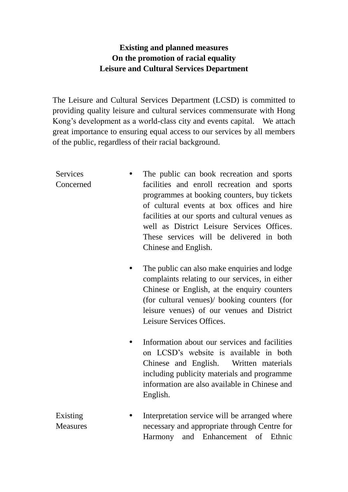## **Existing and planned measures On the promotion of racial equality Leisure and Cultural Services Department**

The Leisure and Cultural Services Department (LCSD) is committed to providing quality leisure and cultural services commensurate with Hong Kong's development as a world-class city and events capital. We attach great importance to ensuring equal access to our services by all members of the public, regardless of their racial background.

| <b>Services</b><br>Concerned | The public can book recreation and sports<br>facilities and enroll recreation and sports<br>programmes at booking counters, buy tickets<br>of cultural events at box offices and hire<br>facilities at our sports and cultural venues as<br>well as District Leisure Services Offices.<br>These services will be delivered in both<br>Chinese and English. |
|------------------------------|------------------------------------------------------------------------------------------------------------------------------------------------------------------------------------------------------------------------------------------------------------------------------------------------------------------------------------------------------------|
|                              | The public can also make enquiries and lodge<br>complaints relating to our services, in either<br>Chinese or English, at the enquiry counters<br>(for cultural venues)/ booking counters (for<br>leisure venues) of our venues and District<br>Leisure Services Offices.                                                                                   |
|                              | Information about our services and facilities<br>on LCSD's website is available in both<br>Chinese and English. Written materials<br>including publicity materials and programme<br>information are also available in Chinese and<br>English.                                                                                                              |
| Existing<br><b>Measures</b>  | Interpretation service will be arranged where<br>necessary and appropriate through Centre for                                                                                                                                                                                                                                                              |

Harmony and Enhancement of Ethnic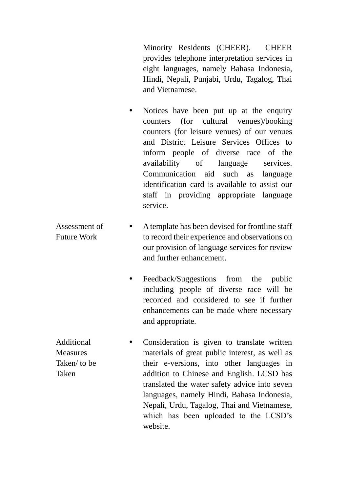Minority Residents (CHEER). CHEER provides telephone interpretation services in eight languages, namely Bahasa Indonesia, Hindi, Nepali, Punjabi, Urdu, Tagalog, Thai and Vietnamese.

- Notices have been put up at the enquiry counters (for cultural venues)/booking counters (for leisure venues) of our venues and District Leisure Services Offices to inform people of diverse race of the availability of language services. Communication aid such as language identification card is available to assist our staff in providing appropriate language service.
- Assessment of Future Work A template has been devised for frontline staff to record their experience and observations on our provision of language services for review and further enhancement.
	- Feedback/Suggestions from the public including people of diverse race will be recorded and considered to see if further enhancements can be made where necessary and appropriate.
- Additional **Measures** Taken/ to be Taken • Consideration is given to translate written materials of great public interest, as well as their e-versions, into other languages in addition to Chinese and English. LCSD has translated the water safety advice into seven languages, namely Hindi, Bahasa Indonesia, Nepali, Urdu, Tagalog, Thai and Vietnamese, which has been uploaded to the LCSD's website.